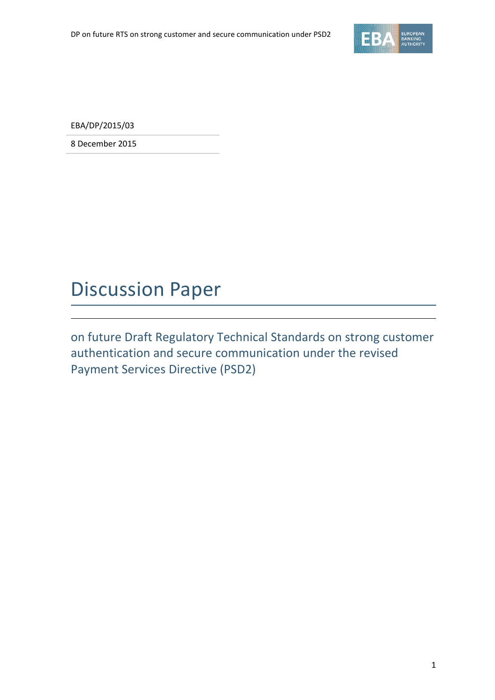

EBA/DP/2015/03

8 December 2015

## Discussion Paper

on future Draft Regulatory Technical Standards on strong customer authentication and secure communication under the revised Payment Services Directive (PSD2)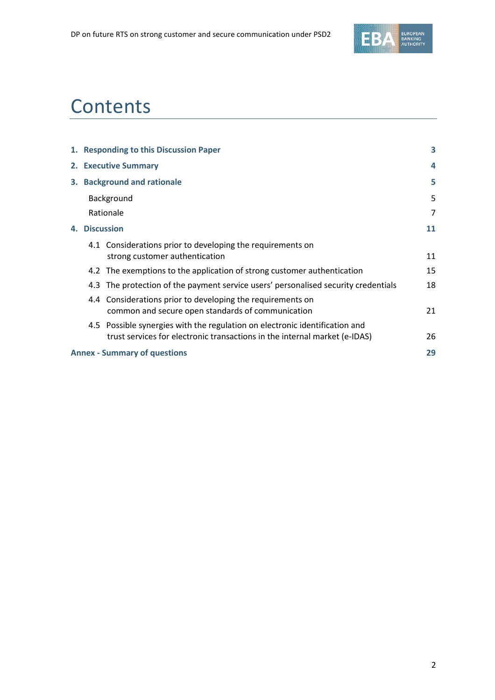

# **Contents**

| 1. Responding to this Discussion Paper |                                                                            | 3                                                                                                                                                                                                                                                                                                                                                                        |
|----------------------------------------|----------------------------------------------------------------------------|--------------------------------------------------------------------------------------------------------------------------------------------------------------------------------------------------------------------------------------------------------------------------------------------------------------------------------------------------------------------------|
| 2. Executive Summary                   |                                                                            | 4                                                                                                                                                                                                                                                                                                                                                                        |
| 3. Background and rationale            |                                                                            | 5                                                                                                                                                                                                                                                                                                                                                                        |
| Background                             |                                                                            | 5                                                                                                                                                                                                                                                                                                                                                                        |
| Rationale                              |                                                                            | 7                                                                                                                                                                                                                                                                                                                                                                        |
| <b>Discussion</b><br>4.                |                                                                            | 11                                                                                                                                                                                                                                                                                                                                                                       |
|                                        | strong customer authentication                                             | 11                                                                                                                                                                                                                                                                                                                                                                       |
|                                        |                                                                            | 15                                                                                                                                                                                                                                                                                                                                                                       |
|                                        |                                                                            | 18                                                                                                                                                                                                                                                                                                                                                                       |
|                                        | common and secure open standards of communication                          | 21                                                                                                                                                                                                                                                                                                                                                                       |
|                                        | trust services for electronic transactions in the internal market (e-IDAS) | 26                                                                                                                                                                                                                                                                                                                                                                       |
| <b>Annex - Summary of questions</b>    |                                                                            | 29                                                                                                                                                                                                                                                                                                                                                                       |
|                                        |                                                                            | 4.1 Considerations prior to developing the requirements on<br>4.2 The exemptions to the application of strong customer authentication<br>4.3 The protection of the payment service users' personalised security credentials<br>4.4 Considerations prior to developing the requirements on<br>4.5 Possible synergies with the regulation on electronic identification and |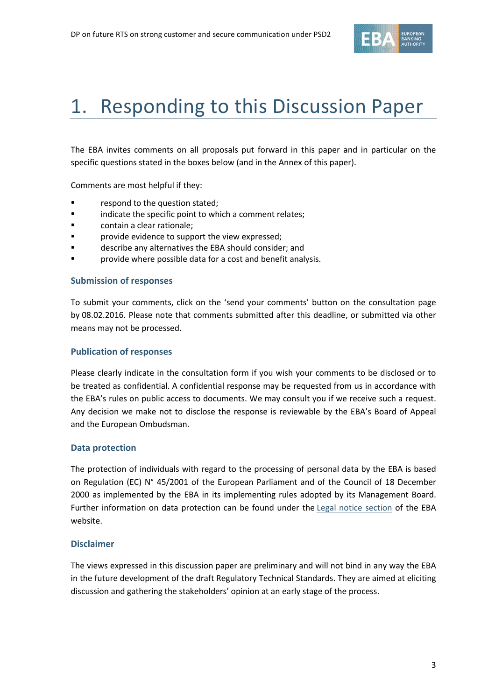

# 1. Responding to this Discussion Paper

The EBA invites comments on all proposals put forward in this paper and in particular on the specific questions stated in the boxes below (and in the Annex of this paper).

Comments are most helpful if they:

- **Fallengia Exercise 1** respond to the question stated;
- **Example 3** indicate the specific point to which a comment relates;
- contain a clear rationale;
- **Part Exercise Exercise Exercise to support the view expressed;**
- describe any alternatives the EBA should consider; and
- **Parta Forolly** provide where possible data for a cost and benefit analysis.

#### **Submission of responses**

To submit your comments, click on the 'send your comments' button on the consultation page by 08.02.2016. Please note that comments submitted after this deadline, or submitted via other means may not be processed.

#### **Publication of responses**

Please clearly indicate in the consultation form if you wish your comments to be disclosed or to be treated as confidential. A confidential response may be requested from us in accordance with the EBA's rules on public access to documents. We may consult you if we receive such a request. Any decision we make not to disclose the response is reviewable by the EBA's Board of Appeal and the European Ombudsman.

#### **Data protection**

The protection of individuals with regard to the processing of personal data by the EBA is based on Regulation (EC) N° 45/2001 of the European Parliament and of the Council of 18 December 2000 as implemented by the EBA in its implementing rules adopted by its Management Board. Further information on data protection can be found under the [Legal notice section](http://eba.europa.eu/legal-notice) of the EBA website.

#### **Disclaimer**

The views expressed in this discussion paper are preliminary and will not bind in any way the EBA in the future development of the draft Regulatory Technical Standards. They are aimed at eliciting discussion and gathering the stakeholders' opinion at an early stage of the process.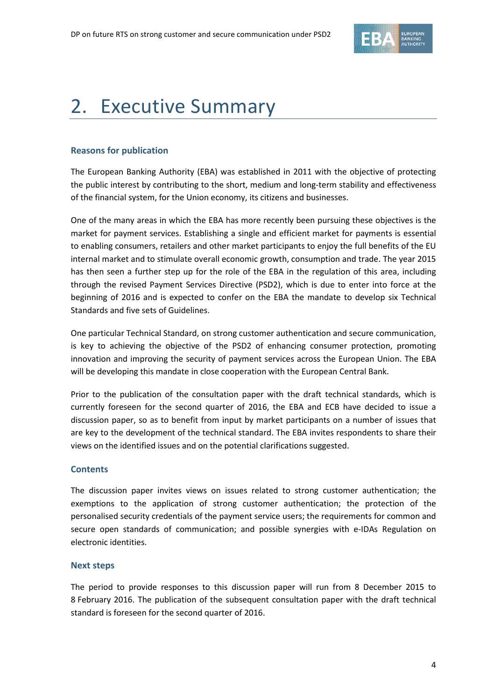

# 2. Executive Summary

#### **Reasons for publication**

The European Banking Authority (EBA) was established in 2011 with the objective of protecting the public interest by contributing to the short, medium and long-term stability and effectiveness of the financial system, for the Union economy, its citizens and businesses.

One of the many areas in which the EBA has more recently been pursuing these objectives is the market for payment services. Establishing a single and efficient market for payments is essential to enabling consumers, retailers and other market participants to enjoy the full benefits of the EU internal market and to stimulate overall economic growth, consumption and trade. The year 2015 has then seen a further step up for the role of the EBA in the regulation of this area, including through the revised Payment Services Directive (PSD2), which is due to enter into force at the beginning of 2016 and is expected to confer on the EBA the mandate to develop six Technical Standards and five sets of Guidelines.

One particular Technical Standard, on strong customer authentication and secure communication, is key to achieving the objective of the PSD2 of enhancing consumer protection, promoting innovation and improving the security of payment services across the European Union. The EBA will be developing this mandate in close cooperation with the European Central Bank.

Prior to the publication of the consultation paper with the draft technical standards, which is currently foreseen for the second quarter of 2016, the EBA and ECB have decided to issue a discussion paper, so as to benefit from input by market participants on a number of issues that are key to the development of the technical standard. The EBA invites respondents to share their views on the identified issues and on the potential clarifications suggested.

#### **Contents**

The discussion paper invites views on issues related to strong customer authentication; the exemptions to the application of strong customer authentication; the protection of the personalised security credentials of the payment service users; the requirements for common and secure open standards of communication; and possible synergies with e-IDAs Regulation on electronic identities.

#### **Next steps**

The period to provide responses to this discussion paper will run from 8 December 2015 to 8 February 2016. The publication of the subsequent consultation paper with the draft technical standard is foreseen for the second quarter of 2016.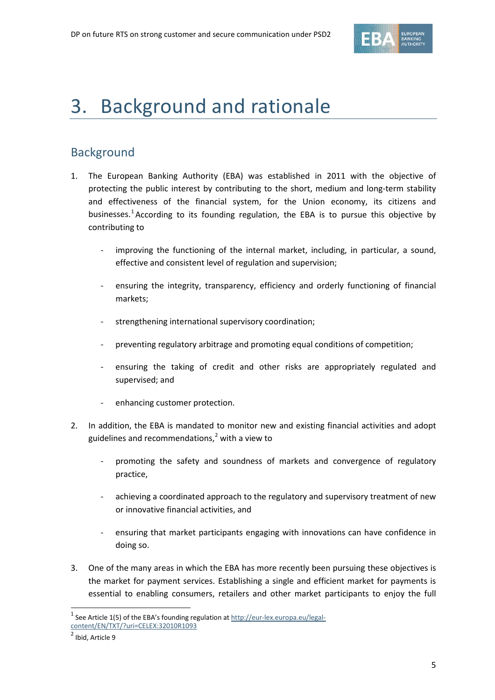

## 3. Background and rationale

## Background

- 1. The European Banking Authority (EBA) was established in 2011 with the objective of protecting the public interest by contributing to the short, medium and long-term stability and effectiveness of the financial system, for the Union economy, its citizens and businesses.<sup>[1](#page-4-0)</sup> According to its founding regulation, the EBA is to pursue this objective by contributing to
	- improving the functioning of the internal market, including, in particular, a sound, effective and consistent level of regulation and supervision;
	- ensuring the integrity, transparency, efficiency and orderly functioning of financial markets;
	- strengthening international supervisory coordination;
	- preventing regulatory arbitrage and promoting equal conditions of competition;
	- ensuring the taking of credit and other risks are appropriately regulated and supervised; and
	- enhancing customer protection.
- 2. In addition, the EBA is mandated to monitor new and existing financial activities and adopt guidelines and recommendations, [2](#page-4-1) with a view to
	- promoting the safety and soundness of markets and convergence of regulatory practice,
	- achieving a coordinated approach to the regulatory and supervisory treatment of new or innovative financial activities, and
	- ensuring that market participants engaging with innovations can have confidence in doing so.
- 3. One of the many areas in which the EBA has more recently been pursuing these objectives is the market for payment services. Establishing a single and efficient market for payments is essential to enabling consumers, retailers and other market participants to enjoy the full

 $\overline{a}$ 

<span id="page-4-0"></span> $1$  See Article 1(5) of the EBA's founding regulation at  $\frac{http://eur-lex.europa.eu/legal-}{$ 

[content/EN/TXT/?uri=CELEX:32010R1093](http://eur-lex.europa.eu/legal-content/EN/TXT/?uri=CELEX:32010R1093)

<span id="page-4-1"></span> $<sup>2</sup>$  Ibid, Article 9</sup>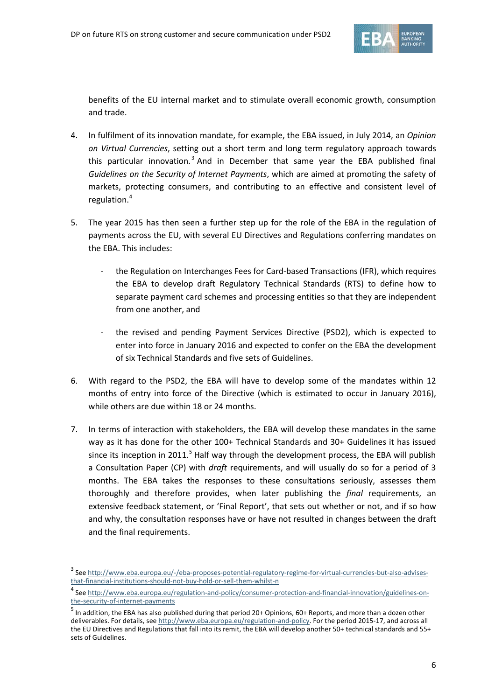

benefits of the EU internal market and to stimulate overall economic growth, consumption and trade.

- 4. In fulfilment of its innovation mandate, for example, the EBA issued, in July 2014, an *Opinion on Virtual Currencies*, setting out a short term and long term regulatory approach towards this particular innovation.<sup>[3](#page-5-0)</sup> And in December that same year the EBA published final *Guidelines on the Security of Internet Payments*, which are aimed at promoting the safety of markets, protecting consumers, and contributing to an effective and consistent level of regulation.[4](#page-5-1)
- 5. The year 2015 has then seen a further step up for the role of the EBA in the regulation of payments across the EU, with several EU Directives and Regulations conferring mandates on the EBA. This includes:
	- the Regulation on Interchanges Fees for Card-based Transactions (IFR), which requires the EBA to develop draft Regulatory Technical Standards (RTS) to define how to separate payment card schemes and processing entities so that they are independent from one another, and
	- the revised and pending Payment Services Directive (PSD2), which is expected to enter into force in January 2016 and expected to confer on the EBA the development of six Technical Standards and five sets of Guidelines.
- 6. With regard to the PSD2, the EBA will have to develop some of the mandates within 12 months of entry into force of the Directive (which is estimated to occur in January 2016), while others are due within 18 or 24 months.
- 7. In terms of interaction with stakeholders, the EBA will develop these mandates in the same way as it has done for the other 100+ Technical Standards and 30+ Guidelines it has issued since its inception in 2011.<sup>[5](#page-5-2)</sup> Half way through the development process, the EBA will publish a Consultation Paper (CP) with *draft* requirements, and will usually do so for a period of 3 months. The EBA takes the responses to these consultations seriously, assesses them thoroughly and therefore provides, when later publishing the *final* requirements, an extensive feedback statement, or 'Final Report', that sets out whether or not, and if so how and why, the consultation responses have or have not resulted in changes between the draft and the final requirements.

 $\overline{a}$ 

<span id="page-5-0"></span><sup>&</sup>lt;sup>3</sup> See [http://www.eba.europa.eu/-/eba-proposes-potential-regulatory-regime-for-virtual-currencies-but-also-advises](http://www.eba.europa.eu/-/eba-proposes-potential-regulatory-regime-for-virtual-currencies-but-also-advises-that-financial-institutions-should-not-buy-hold-or-sell-them-whilst-n)[that-financial-institutions-should-not-buy-hold-or-sell-them-whilst-n](http://www.eba.europa.eu/-/eba-proposes-potential-regulatory-regime-for-virtual-currencies-but-also-advises-that-financial-institutions-should-not-buy-hold-or-sell-them-whilst-n)

<span id="page-5-1"></span><sup>4</sup> See [http://www.eba.europa.eu/regulation-and-policy/consumer-protection-and-financial-innovation/guidelines-on](http://www.eba.europa.eu/regulation-and-policy/consumer-protection-and-financial-innovation/guidelines-on-the-security-of-internet-payments)[the-security-of-internet-payments](http://www.eba.europa.eu/regulation-and-policy/consumer-protection-and-financial-innovation/guidelines-on-the-security-of-internet-payments)

<span id="page-5-2"></span> $^5$  In addition, the EBA has also published during that period 20+ Opinions, 60+ Reports, and more than a dozen other deliverables. For details, se[e http://www.eba.europa.eu/regulation-and-policy.](http://www.eba.europa.eu/regulation-and-policy) For the period 2015-17, and across all the EU Directives and Regulations that fall into its remit, the EBA will develop another 50+ technical standards and 55+ sets of Guidelines.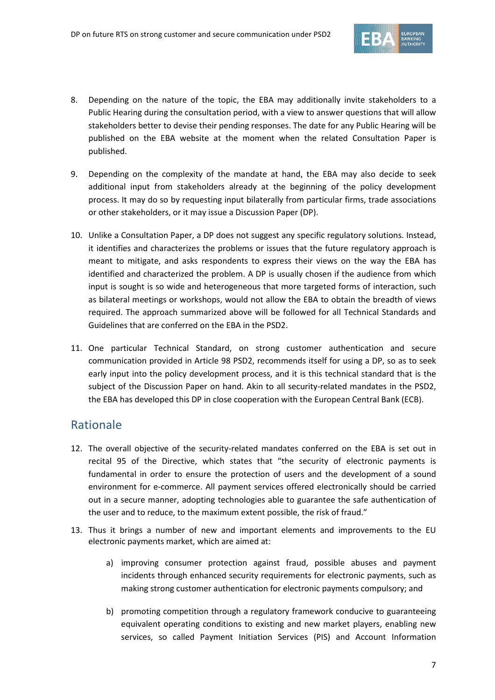

- 8. Depending on the nature of the topic, the EBA may additionally invite stakeholders to a Public Hearing during the consultation period, with a view to answer questions that will allow stakeholders better to devise their pending responses. The date for any Public Hearing will be published on the EBA website at the moment when the related Consultation Paper is published.
- 9. Depending on the complexity of the mandate at hand, the EBA may also decide to seek additional input from stakeholders already at the beginning of the policy development process. It may do so by requesting input bilaterally from particular firms, trade associations or other stakeholders, or it may issue a Discussion Paper (DP).
- 10. Unlike a Consultation Paper, a DP does not suggest any specific regulatory solutions. Instead, it identifies and characterizes the problems or issues that the future regulatory approach is meant to mitigate, and asks respondents to express their views on the way the EBA has identified and characterized the problem. A DP is usually chosen if the audience from which input is sought is so wide and heterogeneous that more targeted forms of interaction, such as bilateral meetings or workshops, would not allow the EBA to obtain the breadth of views required. The approach summarized above will be followed for all Technical Standards and Guidelines that are conferred on the EBA in the PSD2.
- 11. One particular Technical Standard, on strong customer authentication and secure communication provided in Article 98 PSD2, recommends itself for using a DP, so as to seek early input into the policy development process, and it is this technical standard that is the subject of the Discussion Paper on hand. Akin to all security-related mandates in the PSD2, the EBA has developed this DP in close cooperation with the European Central Bank (ECB).

### Rationale

- 12. The overall objective of the security-related mandates conferred on the EBA is set out in recital 95 of the Directive, which states that "the security of electronic payments is fundamental in order to ensure the protection of users and the development of a sound environment for e-commerce. All payment services offered electronically should be carried out in a secure manner, adopting technologies able to guarantee the safe authentication of the user and to reduce, to the maximum extent possible, the risk of fraud."
- 13. Thus it brings a number of new and important elements and improvements to the EU electronic payments market, which are aimed at:
	- a) improving consumer protection against fraud, possible abuses and payment incidents through enhanced security requirements for electronic payments, such as making strong customer authentication for electronic payments compulsory; and
	- b) promoting competition through a regulatory framework conducive to guaranteeing equivalent operating conditions to existing and new market players, enabling new services, so called Payment Initiation Services (PIS) and Account Information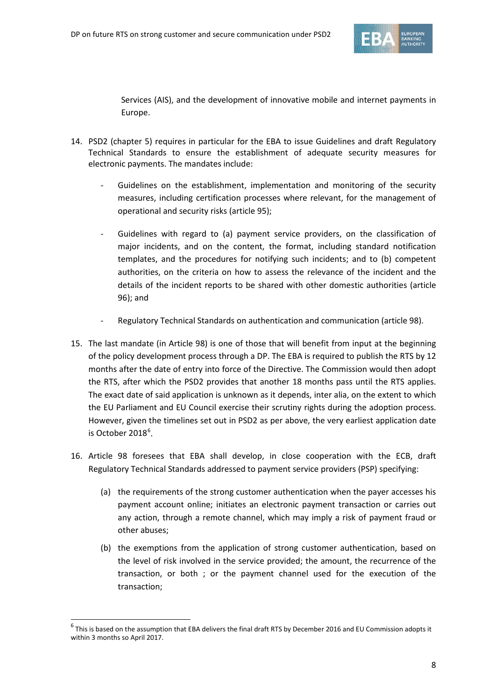

Services (AIS), and the development of innovative mobile and internet payments in Europe.

- 14. PSD2 (chapter 5) requires in particular for the EBA to issue Guidelines and draft Regulatory Technical Standards to ensure the establishment of adequate security measures for electronic payments. The mandates include:
	- Guidelines on the establishment, implementation and monitoring of the security measures, including certification processes where relevant, for the management of operational and security risks (article 95);
	- Guidelines with regard to (a) payment service providers, on the classification of major incidents, and on the content, the format, including standard notification templates, and the procedures for notifying such incidents; and to (b) competent authorities, on the criteria on how to assess the relevance of the incident and the details of the incident reports to be shared with other domestic authorities (article 96); and
	- Regulatory Technical Standards on authentication and communication (article 98).
- 15. The last mandate (in Article 98) is one of those that will benefit from input at the beginning of the policy development process through a DP. The EBA is required to publish the RTS by 12 months after the date of entry into force of the Directive. The Commission would then adopt the RTS, after which the PSD2 provides that another 18 months pass until the RTS applies. The exact date of said application is unknown as it depends, inter alia, on the extent to which the EU Parliament and EU Council exercise their scrutiny rights during the adoption process. However, given the timelines set out in PSD2 as per above, the very earliest application date is October 2018 $^6$  $^6$ .
- 16. Article 98 foresees that EBA shall develop, in close cooperation with the ECB, draft Regulatory Technical Standards addressed to payment service providers (PSP) specifying:
	- (a) the requirements of the strong customer authentication when the payer accesses his payment account online; initiates an electronic payment transaction or carries out any action, through a remote channel, which may imply a risk of payment fraud or other abuses;
	- (b) the exemptions from the application of strong customer authentication, based on the level of risk involved in the service provided; the amount, the recurrence of the transaction, or both ; or the payment channel used for the execution of the transaction;

 $\overline{a}$ 

<span id="page-7-0"></span> $<sup>6</sup>$  This is based on the assumption that EBA delivers the final draft RTS by December 2016 and EU Commission adopts it</sup> within 3 months so April 2017.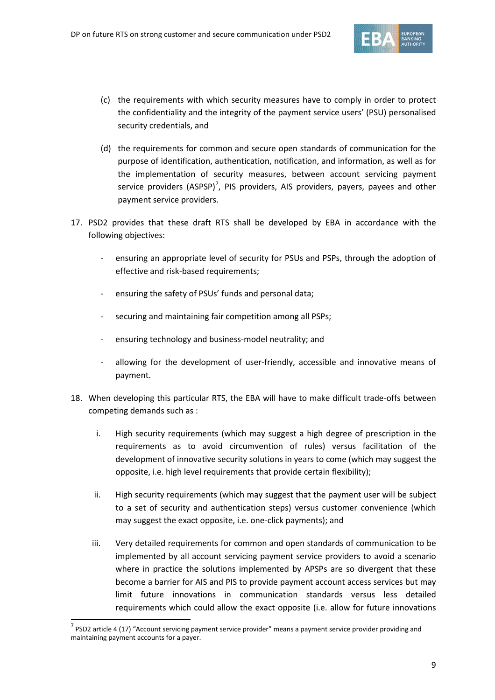

- (c) the requirements with which security measures have to comply in order to protect the confidentiality and the integrity of the payment service users' (PSU) personalised security credentials, and
- (d) the requirements for common and secure open standards of communication for the purpose of identification, authentication, notification, and information, as well as for the implementation of security measures, between account servicing payment service providers (ASPSP)<sup>[7](#page-8-0)</sup>, PIS providers, AIS providers, payers, payees and other payment service providers.
- 17. PSD2 provides that these draft RTS shall be developed by EBA in accordance with the following objectives:
	- ensuring an appropriate level of security for PSUs and PSPs, through the adoption of effective and risk-based requirements;
	- ensuring the safety of PSUs' funds and personal data;
	- securing and maintaining fair competition among all PSPs;
	- ensuring technology and business-model neutrality; and
	- allowing for the development of user-friendly, accessible and innovative means of payment.
- 18. When developing this particular RTS, the EBA will have to make difficult trade-offs between competing demands such as :
	- i. High security requirements (which may suggest a high degree of prescription in the requirements as to avoid circumvention of rules) versus facilitation of the development of innovative security solutions in years to come (which may suggest the opposite, i.e. high level requirements that provide certain flexibility);
	- ii. High security requirements (which may suggest that the payment user will be subject to a set of security and authentication steps) versus customer convenience (which may suggest the exact opposite, i.e. one-click payments); and
	- iii. Very detailed requirements for common and open standards of communication to be implemented by all account servicing payment service providers to avoid a scenario where in practice the solutions implemented by APSPs are so divergent that these become a barrier for AIS and PIS to provide payment account access services but may limit future innovations in communication standards versus less detailed requirements which could allow the exact opposite (i.e. allow for future innovations

 $\overline{a}$ 

<span id="page-8-0"></span> $<sup>7</sup>$  PSD2 article 4 (17) "Account servicing payment service provider" means a payment service provider providing and</sup> maintaining payment accounts for a payer.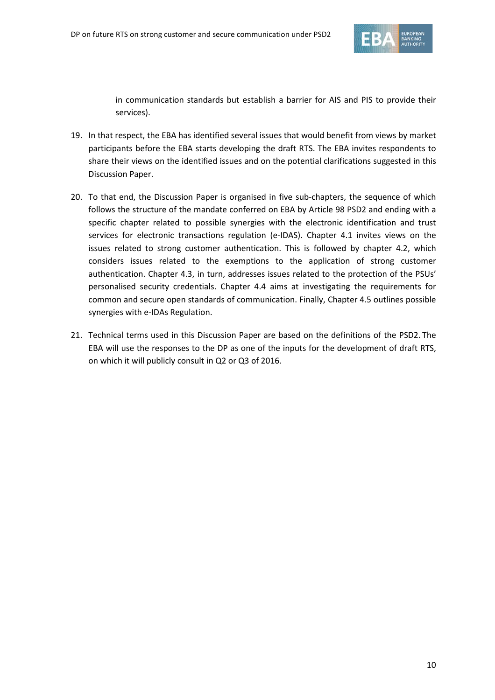

in communication standards but establish a barrier for AIS and PIS to provide their services).

- 19. In that respect, the EBA has identified several issues that would benefit from views by market participants before the EBA starts developing the draft RTS. The EBA invites respondents to share their views on the identified issues and on the potential clarifications suggested in this Discussion Paper.
- 20. To that end, the Discussion Paper is organised in five sub-chapters, the sequence of which follows the structure of the mandate conferred on EBA by Article 98 PSD2 and ending with a specific chapter related to possible synergies with the electronic identification and trust services for electronic transactions regulation (e-IDAS). Chapter 4.1 invites views on the issues related to strong customer authentication. This is followed by chapter 4.2, which considers issues related to the exemptions to the application of strong customer authentication. Chapter 4.3, in turn, addresses issues related to the protection of the PSUs' personalised security credentials. Chapter 4.4 aims at investigating the requirements for common and secure open standards of communication. Finally, Chapter 4.5 outlines possible synergies with e-IDAs Regulation.
- 21. Technical terms used in this Discussion Paper are based on the definitions of the PSD2. The EBA will use the responses to the DP as one of the inputs for the development of draft RTS, on which it will publicly consult in Q2 or Q3 of 2016.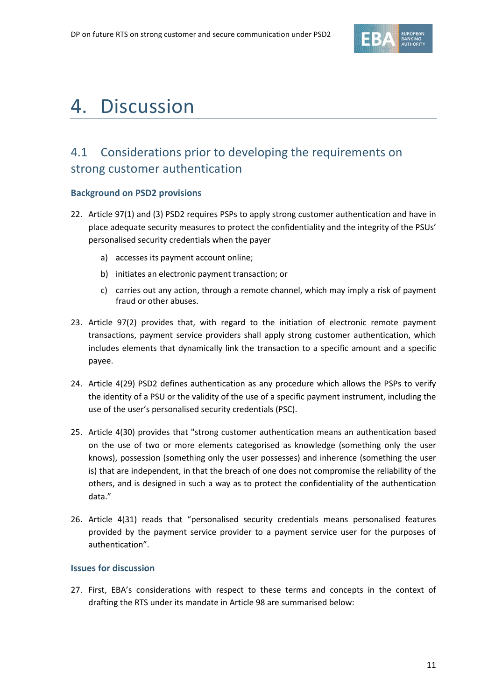

# 4. Discussion

## 4.1 Considerations prior to developing the requirements on strong customer authentication

#### **Background on PSD2 provisions**

- 22. Article 97(1) and (3) PSD2 requires PSPs to apply strong customer authentication and have in place adequate security measures to protect the confidentiality and the integrity of the PSUs' personalised security credentials when the payer
	- a) accesses its payment account online;
	- b) initiates an electronic payment transaction; or
	- c) carries out any action, through a remote channel, which may imply a risk of payment fraud or other abuses.
- 23. Article 97(2) provides that, with regard to the initiation of electronic remote payment transactions, payment service providers shall apply strong customer authentication, which includes elements that dynamically link the transaction to a specific amount and a specific payee.
- 24. Article 4(29) PSD2 defines authentication as any procedure which allows the PSPs to verify the identity of a PSU or the validity of the use of a specific payment instrument, including the use of the user's personalised security credentials (PSC).
- 25. Article 4(30) provides that "strong customer authentication means an authentication based on the use of two or more elements categorised as knowledge (something only the user knows), possession (something only the user possesses) and inherence (something the user is) that are independent, in that the breach of one does not compromise the reliability of the others, and is designed in such a way as to protect the confidentiality of the authentication data."
- 26. Article 4(31) reads that "personalised security credentials means personalised features provided by the payment service provider to a payment service user for the purposes of authentication".

#### **Issues for discussion**

27. First, EBA's considerations with respect to these terms and concepts in the context of drafting the RTS under its mandate in Article 98 are summarised below: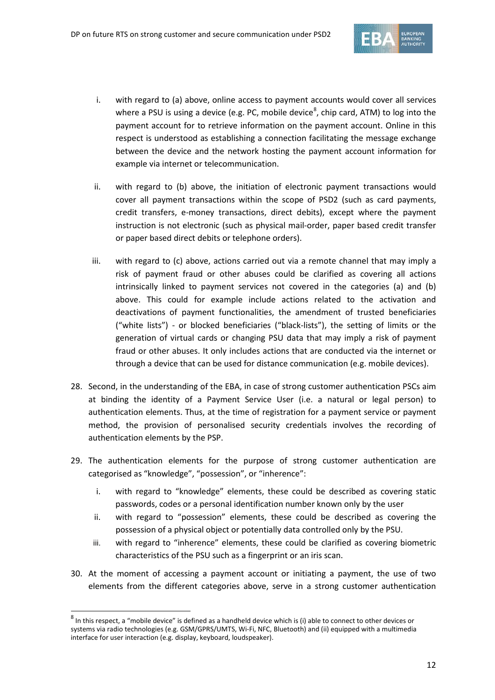

- i. with regard to (a) above, online access to payment accounts would cover all services where a PSU is using a device (e.g. PC, mobile device<sup>[8](#page-11-0)</sup>, chip card, ATM) to log into the payment account for to retrieve information on the payment account. Online in this respect is understood as establishing a connection facilitating the message exchange between the device and the network hosting the payment account information for example via internet or telecommunication.
- ii. with regard to (b) above, the initiation of electronic payment transactions would cover all payment transactions within the scope of PSD2 (such as card payments, credit transfers, e-money transactions, direct debits), except where the payment instruction is not electronic (such as physical mail-order, paper based credit transfer or paper based direct debits or telephone orders).
- iii. with regard to (c) above, actions carried out via a remote channel that may imply a risk of payment fraud or other abuses could be clarified as covering all actions intrinsically linked to payment services not covered in the categories (a) and (b) above. This could for example include actions related to the activation and deactivations of payment functionalities, the amendment of trusted beneficiaries ("white lists") - or blocked beneficiaries ("black-lists"), the setting of limits or the generation of virtual cards or changing PSU data that may imply a risk of payment fraud or other abuses. It only includes actions that are conducted via the internet or through a device that can be used for distance communication (e.g. mobile devices).
- 28. Second, in the understanding of the EBA, in case of strong customer authentication PSCs aim at binding the identity of a Payment Service User (i.e. a natural or legal person) to authentication elements. Thus, at the time of registration for a payment service or payment method, the provision of personalised security credentials involves the recording of authentication elements by the PSP.
- 29. The authentication elements for the purpose of strong customer authentication are categorised as "knowledge", "possession", or "inherence":
	- i. with regard to "knowledge" elements, these could be described as covering static passwords, codes or a personal identification number known only by the user
	- ii. with regard to "possession" elements, these could be described as covering the possession of a physical object or potentially data controlled only by the PSU.
	- iii. with regard to "inherence" elements, these could be clarified as covering biometric characteristics of the PSU such as a fingerprint or an iris scan.
- 30. At the moment of accessing a payment account or initiating a payment, the use of two elements from the different categories above, serve in a strong customer authentication

 $\overline{a}$ 

<span id="page-11-0"></span> $8$  In this respect, a "mobile device" is defined as a handheld device which is (i) able to connect to other devices or systems via radio technologies (e.g. GSM/GPRS/UMTS, Wi-Fi, NFC, Bluetooth) and (ii) equipped with a multimedia interface for user interaction (e.g. display, keyboard, loudspeaker).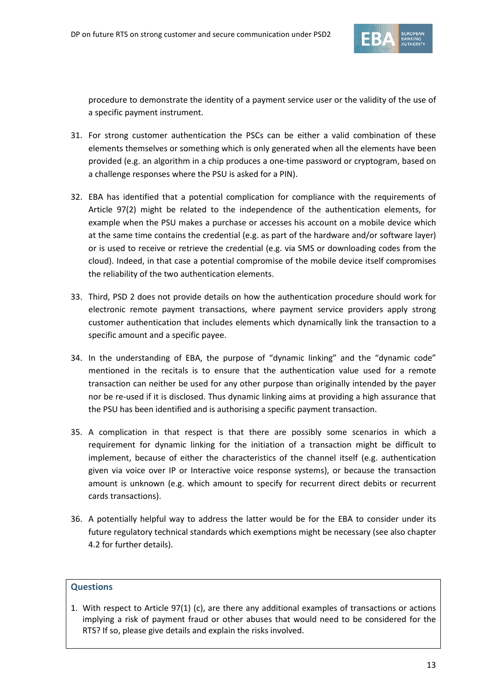

procedure to demonstrate the identity of a payment service user or the validity of the use of a specific payment instrument.

- 31. For strong customer authentication the PSCs can be either a valid combination of these elements themselves or something which is only generated when all the elements have been provided (e.g. an algorithm in a chip produces a one-time password or cryptogram, based on a challenge responses where the PSU is asked for a PIN).
- 32. EBA has identified that a potential complication for compliance with the requirements of Article 97(2) might be related to the independence of the authentication elements, for example when the PSU makes a purchase or accesses his account on a mobile device which at the same time contains the credential (e.g. as part of the hardware and/or software layer) or is used to receive or retrieve the credential (e.g. via SMS or downloading codes from the cloud). Indeed, in that case a potential compromise of the mobile device itself compromises the reliability of the two authentication elements.
- 33. Third, PSD 2 does not provide details on how the authentication procedure should work for electronic remote payment transactions, where payment service providers apply strong customer authentication that includes elements which dynamically link the transaction to a specific amount and a specific payee.
- 34. In the understanding of EBA, the purpose of "dynamic linking" and the "dynamic code" mentioned in the recitals is to ensure that the authentication value used for a remote transaction can neither be used for any other purpose than originally intended by the payer nor be re-used if it is disclosed. Thus dynamic linking aims at providing a high assurance that the PSU has been identified and is authorising a specific payment transaction.
- 35. A complication in that respect is that there are possibly some scenarios in which a requirement for dynamic linking for the initiation of a transaction might be difficult to implement, because of either the characteristics of the channel itself (e.g. authentication given via voice over IP or Interactive voice response systems), or because the transaction amount is unknown (e.g. which amount to specify for recurrent direct debits or recurrent cards transactions).
- 36. A potentially helpful way to address the latter would be for the EBA to consider under its future regulatory technical standards which exemptions might be necessary (see also chapter 4.2 for further details).

#### **Questions**

1. With respect to Article 97(1) (c), are there any additional examples of transactions or actions implying a risk of payment fraud or other abuses that would need to be considered for the RTS? If so, please give details and explain the risks involved.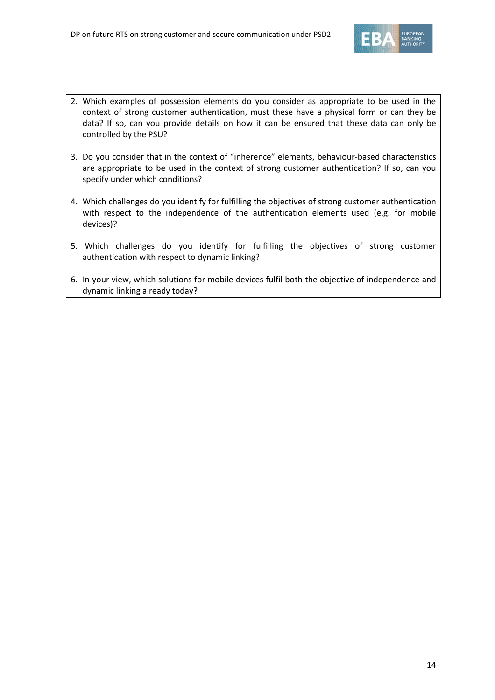

- 2. Which examples of possession elements do you consider as appropriate to be used in the context of strong customer authentication, must these have a physical form or can they be data? If so, can you provide details on how it can be ensured that these data can only be controlled by the PSU?
- 3. Do you consider that in the context of "inherence" elements, behaviour-based characteristics are appropriate to be used in the context of strong customer authentication? If so, can you specify under which conditions?
- 4. Which challenges do you identify for fulfilling the objectives of strong customer authentication with respect to the independence of the authentication elements used (e.g. for mobile devices)?
- 5. Which challenges do you identify for fulfilling the objectives of strong customer authentication with respect to dynamic linking?
- 6. In your view, which solutions for mobile devices fulfil both the objective of independence and dynamic linking already today?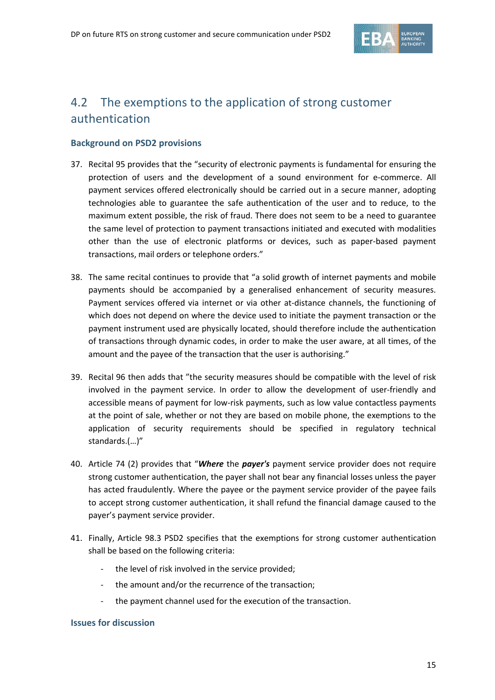

## 4.2 The exemptions to the application of strong customer authentication

#### **Background on PSD2 provisions**

- 37. Recital 95 provides that the "security of electronic payments is fundamental for ensuring the protection of users and the development of a sound environment for e-commerce. All payment services offered electronically should be carried out in a secure manner, adopting technologies able to guarantee the safe authentication of the user and to reduce, to the maximum extent possible, the risk of fraud. There does not seem to be a need to guarantee the same level of protection to payment transactions initiated and executed with modalities other than the use of electronic platforms or devices, such as paper-based payment transactions, mail orders or telephone orders."
- 38. The same recital continues to provide that "a solid growth of internet payments and mobile payments should be accompanied by a generalised enhancement of security measures. Payment services offered via internet or via other at-distance channels, the functioning of which does not depend on where the device used to initiate the payment transaction or the payment instrument used are physically located, should therefore include the authentication of transactions through dynamic codes, in order to make the user aware, at all times, of the amount and the payee of the transaction that the user is authorising."
- 39. Recital 96 then adds that "the security measures should be compatible with the level of risk involved in the payment service. In order to allow the development of user-friendly and accessible means of payment for low-risk payments, such as low value contactless payments at the point of sale, whether or not they are based on mobile phone, the exemptions to the application of security requirements should be specified in regulatory technical standards.(…)"
- 40. Article 74 (2) provides that "*Where* the *payer's* payment service provider does not require strong customer authentication, the payer shall not bear any financial losses unless the payer has acted fraudulently. Where the payee or the payment service provider of the payee fails to accept strong customer authentication, it shall refund the financial damage caused to the payer's payment service provider.
- 41. Finally, Article 98.3 PSD2 specifies that the exemptions for strong customer authentication shall be based on the following criteria:
	- the level of risk involved in the service provided;
	- the amount and/or the recurrence of the transaction;
	- the payment channel used for the execution of the transaction.

#### **Issues for discussion**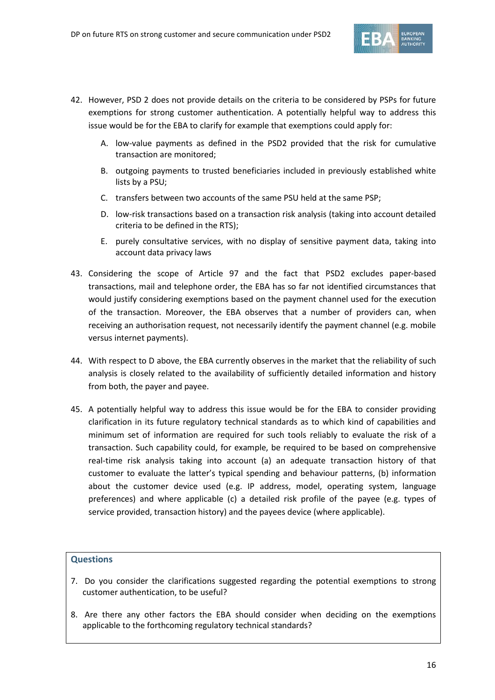

- 42. However, PSD 2 does not provide details on the criteria to be considered by PSPs for future exemptions for strong customer authentication. A potentially helpful way to address this issue would be for the EBA to clarify for example that exemptions could apply for:
	- A. low-value payments as defined in the PSD2 provided that the risk for cumulative transaction are monitored;
	- B. outgoing payments to trusted beneficiaries included in previously established white lists by a PSU;
	- C. transfers between two accounts of the same PSU held at the same PSP;
	- D. low-risk transactions based on a transaction risk analysis (taking into account detailed criteria to be defined in the RTS);
	- E. purely consultative services, with no display of sensitive payment data, taking into account data privacy laws
- 43. Considering the scope of Article 97 and the fact that PSD2 excludes paper-based transactions, mail and telephone order, the EBA has so far not identified circumstances that would justify considering exemptions based on the payment channel used for the execution of the transaction. Moreover, the EBA observes that a number of providers can, when receiving an authorisation request, not necessarily identify the payment channel (e.g. mobile versus internet payments).
- 44. With respect to D above, the EBA currently observes in the market that the reliability of such analysis is closely related to the availability of sufficiently detailed information and history from both, the payer and payee.
- 45. A potentially helpful way to address this issue would be for the EBA to consider providing clarification in its future regulatory technical standards as to which kind of capabilities and minimum set of information are required for such tools reliably to evaluate the risk of a transaction. Such capability could, for example, be required to be based on comprehensive real-time risk analysis taking into account (a) an adequate transaction history of that customer to evaluate the latter's typical spending and behaviour patterns, (b) information about the customer device used (e.g. IP address, model, operating system, language preferences) and where applicable (c) a detailed risk profile of the payee (e.g. types of service provided, transaction history) and the payees device (where applicable).

#### **Questions**

- 7. Do you consider the clarifications suggested regarding the potential exemptions to strong customer authentication, to be useful?
- 8. Are there any other factors the EBA should consider when deciding on the exemptions applicable to the forthcoming regulatory technical standards?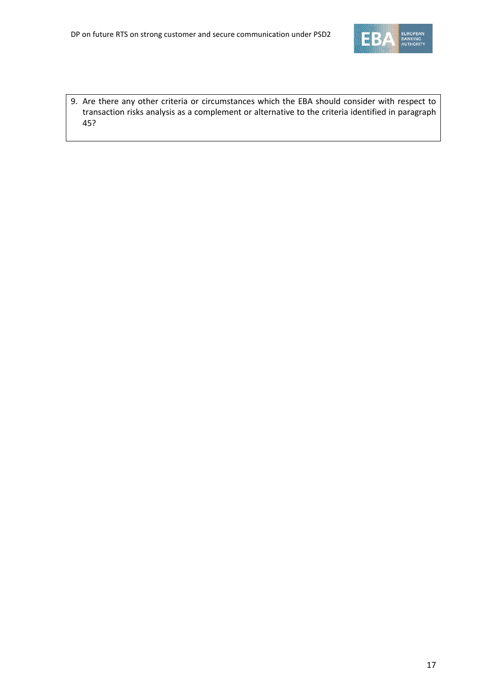

9. Are there any other criteria or circumstances which the EBA should consider with respect to transaction risks analysis as a complement or alternative to the criteria identified in paragraph 45?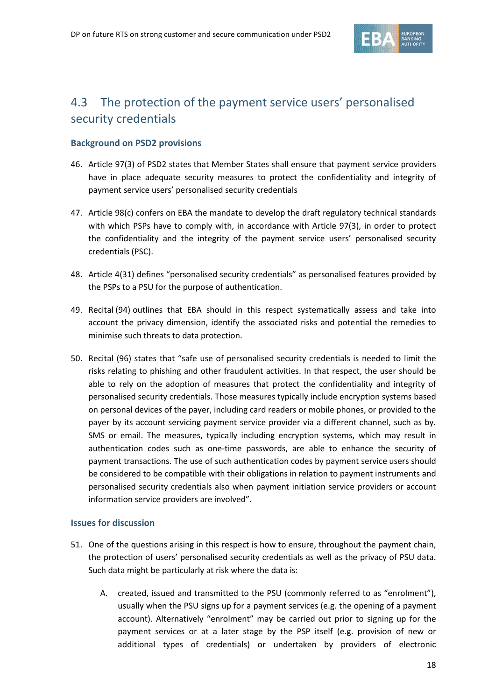

## 4.3 The protection of the payment service users' personalised security credentials

#### **Background on PSD2 provisions**

- 46. Article 97(3) of PSD2 states that Member States shall ensure that payment service providers have in place adequate security measures to protect the confidentiality and integrity of payment service users' personalised security credentials
- 47. Article 98(c) confers on EBA the mandate to develop the draft regulatory technical standards with which PSPs have to comply with, in accordance with Article 97(3), in order to protect the confidentiality and the integrity of the payment service users' personalised security credentials (PSC).
- 48. Article 4(31) defines "personalised security credentials" as personalised features provided by the PSPs to a PSU for the purpose of authentication.
- 49. Recital (94) outlines that EBA should in this respect systematically assess and take into account the privacy dimension, identify the associated risks and potential the remedies to minimise such threats to data protection.
- 50. Recital (96) states that "safe use of personalised security credentials is needed to limit the risks relating to phishing and other fraudulent activities. In that respect, the user should be able to rely on the adoption of measures that protect the confidentiality and integrity of personalised security credentials. Those measures typically include encryption systems based on personal devices of the payer, including card readers or mobile phones, or provided to the payer by its account servicing payment service provider via a different channel, such as by. SMS or email. The measures, typically including encryption systems, which may result in authentication codes such as one-time passwords, are able to enhance the security of payment transactions. The use of such authentication codes by payment service users should be considered to be compatible with their obligations in relation to payment instruments and personalised security credentials also when payment initiation service providers or account information service providers are involved".

#### **Issues for discussion**

- 51. One of the questions arising in this respect is how to ensure, throughout the payment chain, the protection of users' personalised security credentials as well as the privacy of PSU data. Such data might be particularly at risk where the data is:
	- A. created, issued and transmitted to the PSU (commonly referred to as "enrolment"), usually when the PSU signs up for a payment services (e.g. the opening of a payment account). Alternatively "enrolment" may be carried out prior to signing up for the payment services or at a later stage by the PSP itself (e.g. provision of new or additional types of credentials) or undertaken by providers of electronic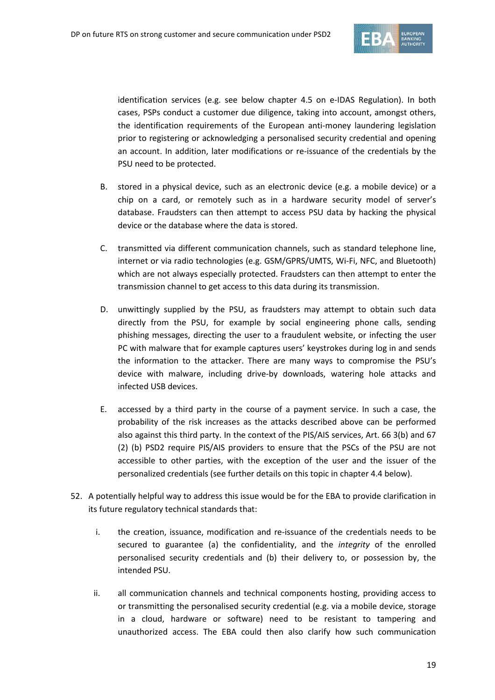

identification services (e.g. see below chapter 4.5 on e-IDAS Regulation). In both cases, PSPs conduct a customer due diligence, taking into account, amongst others, the identification requirements of the European anti-money laundering legislation prior to registering or acknowledging a personalised security credential and opening an account. In addition, later modifications or re-issuance of the credentials by the PSU need to be protected.

- B. stored in a physical device, such as an electronic device (e.g. a mobile device) or a chip on a card, or remotely such as in a hardware security model of server's database. Fraudsters can then attempt to access PSU data by hacking the physical device or the database where the data is stored.
- C. transmitted via different communication channels, such as standard telephone line, internet or via radio technologies (e.g. GSM/GPRS/UMTS, Wi-Fi, NFC, and Bluetooth) which are not always especially protected. Fraudsters can then attempt to enter the transmission channel to get access to this data during its transmission.
- D. unwittingly supplied by the PSU, as fraudsters may attempt to obtain such data directly from the PSU, for example by social engineering phone calls, sending phishing messages, directing the user to a fraudulent website, or infecting the user PC with malware that for example captures users' keystrokes during log in and sends the information to the attacker. There are many ways to compromise the PSU's device with malware, including drive-by downloads, watering hole attacks and infected USB devices.
- E. accessed by a third party in the course of a payment service. In such a case, the probability of the risk increases as the attacks described above can be performed also against this third party. In the context of the PIS/AIS services, Art. 66 3(b) and 67 (2) (b) PSD2 require PIS/AIS providers to ensure that the PSCs of the PSU are not accessible to other parties, with the exception of the user and the issuer of the personalized credentials (see further details on this topic in chapter 4.4 below).
- 52. A potentially helpful way to address this issue would be for the EBA to provide clarification in its future regulatory technical standards that:
	- i. the creation, issuance, modification and re-issuance of the credentials needs to be secured to guarantee (a) the confidentiality, and the *integrity* of the enrolled personalised security credentials and (b) their delivery to, or possession by, the intended PSU.
	- ii. all communication channels and technical components hosting, providing access to or transmitting the personalised security credential (e.g. via a mobile device, storage in a cloud, hardware or software) need to be resistant to tampering and unauthorized access. The EBA could then also clarify how such communication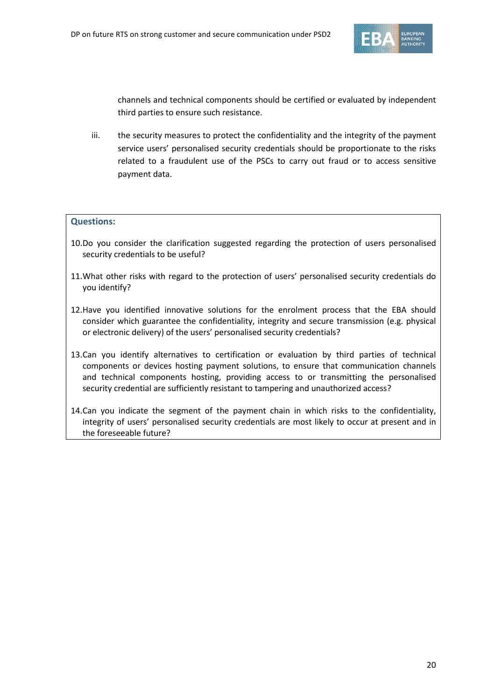

channels and technical components should be certified or evaluated by independent third parties to ensure such resistance.

iii. the security measures to protect the confidentiality and the integrity of the payment service users' personalised security credentials should be proportionate to the risks related to a fraudulent use of the PSCs to carry out fraud or to access sensitive payment data.

#### **Questions:**

- 10.Do you consider the clarification suggested regarding the protection of users personalised security credentials to be useful?
- 11.What other risks with regard to the protection of users' personalised security credentials do you identify?
- 12.Have you identified innovative solutions for the enrolment process that the EBA should consider which guarantee the confidentiality, integrity and secure transmission (e.g. physical or electronic delivery) of the users' personalised security credentials?
- 13.Can you identify alternatives to certification or evaluation by third parties of technical components or devices hosting payment solutions, to ensure that communication channels and technical components hosting, providing access to or transmitting the personalised security credential are sufficiently resistant to tampering and unauthorized access?
- 14.Can you indicate the segment of the payment chain in which risks to the confidentiality, integrity of users' personalised security credentials are most likely to occur at present and in the foreseeable future?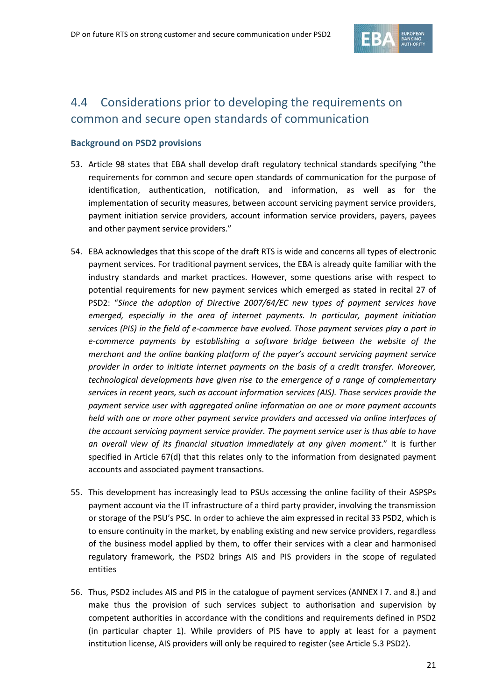

## 4.4 Considerations prior to developing the requirements on common and secure open standards of communication

#### **Background on PSD2 provisions**

- 53. Article 98 states that EBA shall develop draft regulatory technical standards specifying "the requirements for common and secure open standards of communication for the purpose of identification, authentication, notification, and information, as well as for the implementation of security measures, between account servicing payment service providers, payment initiation service providers, account information service providers, payers, payees and other payment service providers."
- 54. EBA acknowledges that this scope of the draft RTS is wide and concerns all types of electronic payment services. For traditional payment services, the EBA is already quite familiar with the industry standards and market practices. However, some questions arise with respect to potential requirements for new payment services which emerged as stated in recital 27 of PSD2: "*Since the adoption of Directive 2007/64/EC new types of payment services have emerged, especially in the area of internet payments. In particular, payment initiation services (PIS) in the field of e-commerce have evolved. Those payment services play a part in e-commerce payments by establishing a software bridge between the website of the merchant and the online banking platform of the payer's account servicing payment service provider in order to initiate internet payments on the basis of a credit transfer. Moreover, technological developments have given rise to the emergence of a range of complementary services in recent years, such as account information services (AIS). Those services provide the payment service user with aggregated online information on one or more payment accounts held with one or more other payment service providers and accessed via online interfaces of the account servicing payment service provider. The payment service user is thus able to have an overall view of its financial situation immediately at any given moment*." It is further specified in Article 67(d) that this relates only to the information from designated payment accounts and associated payment transactions.
- 55. This development has increasingly lead to PSUs accessing the online facility of their ASPSPs payment account via the IT infrastructure of a third party provider, involving the transmission or storage of the PSU's PSC. In order to achieve the aim expressed in recital 33 PSD2, which is to ensure continuity in the market, by enabling existing and new service providers, regardless of the business model applied by them, to offer their services with a clear and harmonised regulatory framework, the PSD2 brings AIS and PIS providers in the scope of regulated entities
- 56. Thus, PSD2 includes AIS and PIS in the catalogue of payment services (ANNEX I 7. and 8.) and make thus the provision of such services subject to authorisation and supervision by competent authorities in accordance with the conditions and requirements defined in PSD2 (in particular chapter 1). While providers of PIS have to apply at least for a payment institution license, AIS providers will only be required to register (see Article 5.3 PSD2).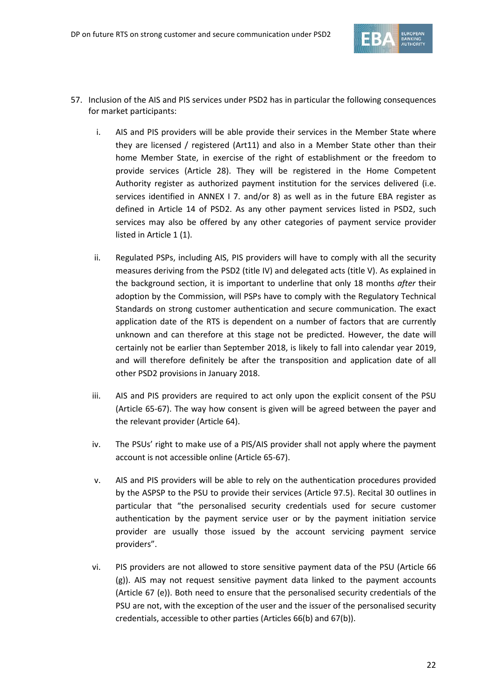

- 57. Inclusion of the AIS and PIS services under PSD2 has in particular the following consequences for market participants:
	- i. AIS and PIS providers will be able provide their services in the Member State where they are licensed / registered (Art11) and also in a Member State other than their home Member State, in exercise of the right of establishment or the freedom to provide services (Article 28). They will be registered in the Home Competent Authority register as authorized payment institution for the services delivered (i.e. services identified in ANNEX I 7. and/or 8) as well as in the future EBA register as defined in Article 14 of PSD2. As any other payment services listed in PSD2, such services may also be offered by any other categories of payment service provider listed in Article 1 (1).
	- ii. Regulated PSPs, including AIS, PIS providers will have to comply with all the security measures deriving from the PSD2 (title IV) and delegated acts (title V). As explained in the background section, it is important to underline that only 18 months *after* their adoption by the Commission, will PSPs have to comply with the Regulatory Technical Standards on strong customer authentication and secure communication. The exact application date of the RTS is dependent on a number of factors that are currently unknown and can therefore at this stage not be predicted. However, the date will certainly not be earlier than September 2018, is likely to fall into calendar year 2019, and will therefore definitely be after the transposition and application date of all other PSD2 provisions in January 2018.
	- iii. AIS and PIS providers are required to act only upon the explicit consent of the PSU (Article 65-67). The way how consent is given will be agreed between the payer and the relevant provider (Article 64).
	- iv. The PSUs' right to make use of a PIS/AIS provider shall not apply where the payment account is not accessible online (Article 65-67).
	- v. AIS and PIS providers will be able to rely on the authentication procedures provided by the ASPSP to the PSU to provide their services (Article 97.5). Recital 30 outlines in particular that "the personalised security credentials used for secure customer authentication by the payment service user or by the payment initiation service provider are usually those issued by the account servicing payment service providers".
	- vi. PIS providers are not allowed to store sensitive payment data of the PSU (Article 66 (g)). AIS may not request sensitive payment data linked to the payment accounts (Article 67 (e)). Both need to ensure that the personalised security credentials of the PSU are not, with the exception of the user and the issuer of the personalised security credentials, accessible to other parties (Articles 66(b) and 67(b)).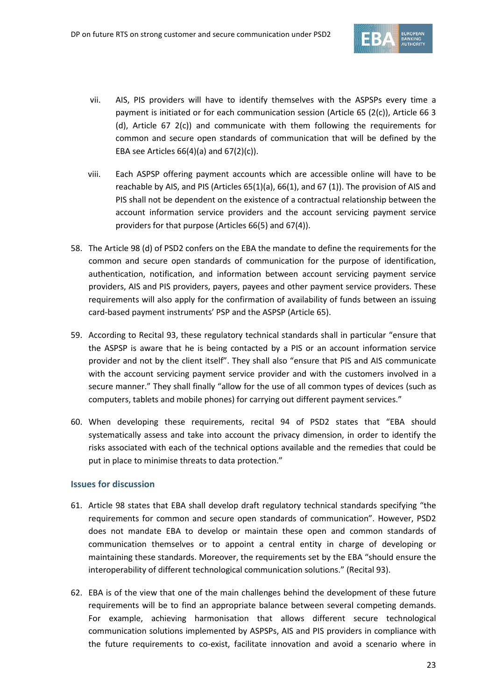

- vii. AIS, PIS providers will have to identify themselves with the ASPSPs every time a payment is initiated or for each communication session (Article 65 (2(c)), Article 66 3 (d), Article 67 2(c)) and communicate with them following the requirements for common and secure open standards of communication that will be defined by the EBA see Articles  $66(4)(a)$  and  $67(2)(c)$ ).
- viii. Each ASPSP offering payment accounts which are accessible online will have to be reachable by AIS, and PIS (Articles 65(1)(a), 66(1), and 67 (1)). The provision of AIS and PIS shall not be dependent on the existence of a contractual relationship between the account information service providers and the account servicing payment service providers for that purpose (Articles 66(5) and 67(4)).
- 58. The Article 98 (d) of PSD2 confers on the EBA the mandate to define the requirements for the common and secure open standards of communication for the purpose of identification, authentication, notification, and information between account servicing payment service providers, AIS and PIS providers, payers, payees and other payment service providers. These requirements will also apply for the confirmation of availability of funds between an issuing card-based payment instruments' PSP and the ASPSP (Article 65).
- 59. According to Recital 93, these regulatory technical standards shall in particular "ensure that the ASPSP is aware that he is being contacted by a PIS or an account information service provider and not by the client itself". They shall also "ensure that PIS and AIS communicate with the account servicing payment service provider and with the customers involved in a secure manner." They shall finally "allow for the use of all common types of devices (such as computers, tablets and mobile phones) for carrying out different payment services."
- 60. When developing these requirements, recital 94 of PSD2 states that "EBA should systematically assess and take into account the privacy dimension, in order to identify the risks associated with each of the technical options available and the remedies that could be put in place to minimise threats to data protection."

#### **Issues for discussion**

- 61. Article 98 states that EBA shall develop draft regulatory technical standards specifying "the requirements for common and secure open standards of communication". However, PSD2 does not mandate EBA to develop or maintain these open and common standards of communication themselves or to appoint a central entity in charge of developing or maintaining these standards. Moreover, the requirements set by the EBA "should ensure the interoperability of different technological communication solutions." (Recital 93).
- 62. EBA is of the view that one of the main challenges behind the development of these future requirements will be to find an appropriate balance between several competing demands. For example, achieving harmonisation that allows different secure technological communication solutions implemented by ASPSPs, AIS and PIS providers in compliance with the future requirements to co-exist, facilitate innovation and avoid a scenario where in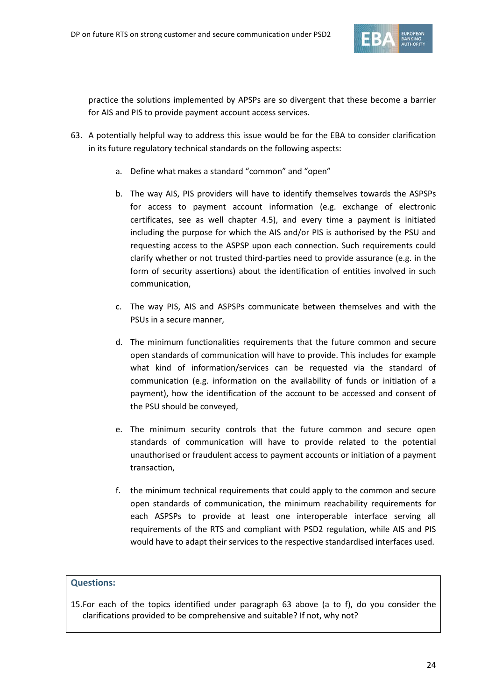

practice the solutions implemented by APSPs are so divergent that these become a barrier for AIS and PIS to provide payment account access services.

- 63. A potentially helpful way to address this issue would be for the EBA to consider clarification in its future regulatory technical standards on the following aspects:
	- a. Define what makes a standard "common" and "open"
	- b. The way AIS, PIS providers will have to identify themselves towards the ASPSPs for access to payment account information (e.g. exchange of electronic certificates, see as well chapter 4.5), and every time a payment is initiated including the purpose for which the AIS and/or PIS is authorised by the PSU and requesting access to the ASPSP upon each connection. Such requirements could clarify whether or not trusted third-parties need to provide assurance (e.g. in the form of security assertions) about the identification of entities involved in such communication,
	- c. The way PIS, AIS and ASPSPs communicate between themselves and with the PSUs in a secure manner,
	- d. The minimum functionalities requirements that the future common and secure open standards of communication will have to provide. This includes for example what kind of information/services can be requested via the standard of communication (e.g. information on the availability of funds or initiation of a payment), how the identification of the account to be accessed and consent of the PSU should be conveyed,
	- e. The minimum security controls that the future common and secure open standards of communication will have to provide related to the potential unauthorised or fraudulent access to payment accounts or initiation of a payment transaction,
	- f. the minimum technical requirements that could apply to the common and secure open standards of communication, the minimum reachability requirements for each ASPSPs to provide at least one interoperable interface serving all requirements of the RTS and compliant with PSD2 regulation, while AIS and PIS would have to adapt their services to the respective standardised interfaces used.

#### **Questions:**

15.For each of the topics identified under paragraph 63 above (a to f), do you consider the clarifications provided to be comprehensive and suitable? If not, why not?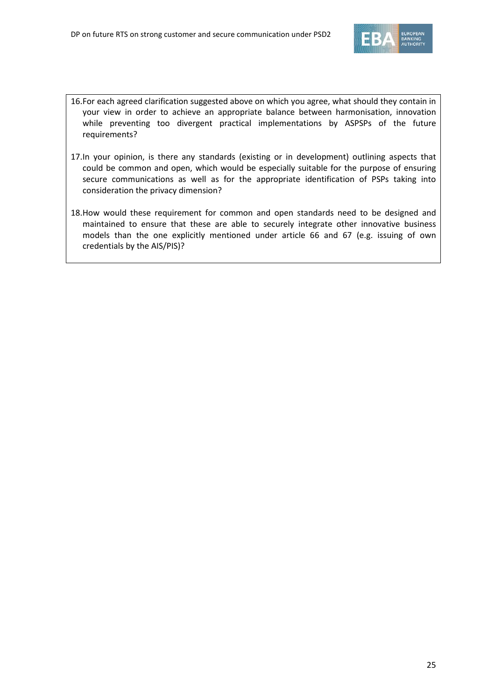

- 16.For each agreed clarification suggested above on which you agree, what should they contain in your view in order to achieve an appropriate balance between harmonisation, innovation while preventing too divergent practical implementations by ASPSPs of the future requirements?
- 17.In your opinion, is there any standards (existing or in development) outlining aspects that could be common and open, which would be especially suitable for the purpose of ensuring secure communications as well as for the appropriate identification of PSPs taking into consideration the privacy dimension?
- 18.How would these requirement for common and open standards need to be designed and maintained to ensure that these are able to securely integrate other innovative business models than the one explicitly mentioned under article 66 and 67 (e.g. issuing of own credentials by the AIS/PIS)?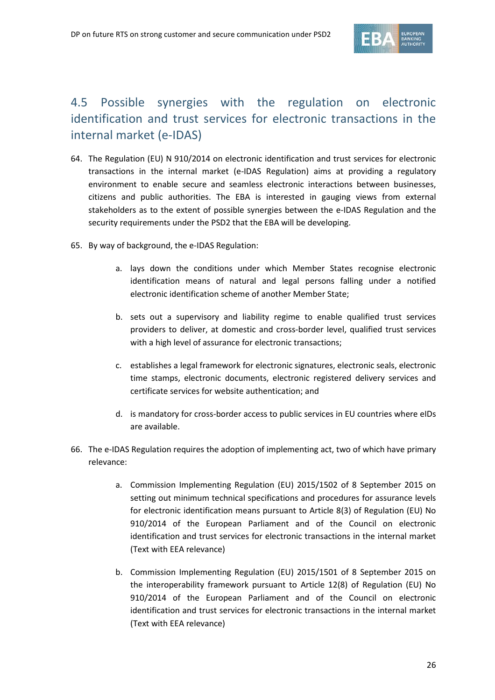

## 4.5 Possible synergies with the regulation on electronic identification and trust services for electronic transactions in the internal market (e-IDAS)

- 64. The Regulation (EU) N 910/2014 on electronic identification and trust services for electronic transactions in the internal market (e-IDAS Regulation) aims at providing a regulatory environment to enable secure and seamless electronic interactions between businesses, citizens and public authorities. The EBA is interested in gauging views from external stakeholders as to the extent of possible synergies between the e-IDAS Regulation and the security requirements under the PSD2 that the EBA will be developing.
- 65. By way of background, the e-IDAS Regulation:
	- a. lays down the conditions under which Member States recognise electronic identification means of natural and legal persons falling under a notified electronic identification scheme of another Member State;
	- b. sets out a supervisory and liability regime to enable qualified trust services providers to deliver, at domestic and cross-border level, qualified trust services with a high level of assurance for electronic transactions;
	- c. establishes a legal framework for electronic signatures, electronic seals, electronic time stamps, electronic documents, electronic registered delivery services and certificate services for website authentication; and
	- d. is mandatory for cross-border access to public services in EU countries where eIDs are available.
- 66. The e-IDAS Regulation requires the adoption of implementing act, two of which have primary relevance:
	- a. [Commission Implementing Regulation \(EU\) 2015/1502](http://eur-lex.europa.eu/legal-content/EN/TXT/?uri=OJ:JOL_2015_235_R_0002) of 8 September 2015 on setting out minimum technical specifications and procedures for assurance levels for electronic identification means pursuant to Article 8(3) of Regulation (EU) No 910/2014 of the European Parliament and of the Council on electronic identification and trust services for electronic transactions in the internal market (Text with EEA relevance)
	- b. Commi[ssion Implementing Regulation \(EU\) 2015/1501](http://eur-lex.europa.eu/legal-content/EN/TXT/?qid=1441782373783&uri=OJ:JOL_2015_235_R_0001) of 8 September 2015 on the interoperability framework pursuant to Article 12(8) of Regulation (EU) No 910/2014 of the European Parliament and of the Council on electronic identification and trust services for electronic transactions in the internal market (Text with EEA relevance)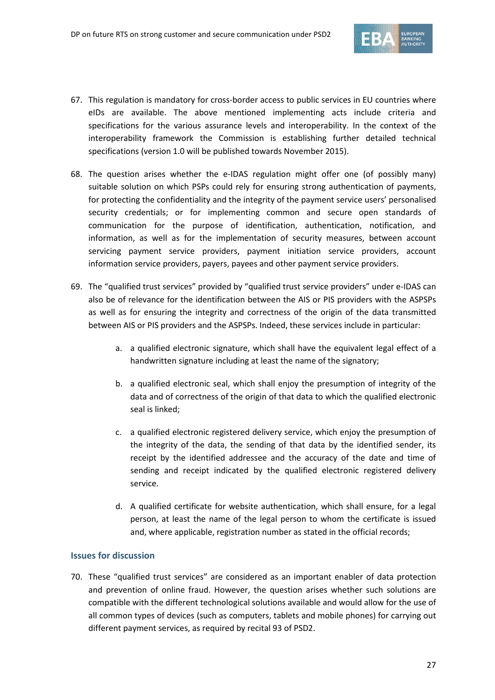

- 67. This regulation is mandatory for cross-border access to public services in EU countries where eIDs are available. The above mentioned implementing acts include criteria and specifications for the various assurance levels and interoperability. In the context of the interoperability framework the Commission is establishing further detailed technical specifications (version 1.0 will be published towards November 2015).
- 68. The question arises whether the e-IDAS regulation might offer one (of possibly many) suitable solution on which PSPs could rely for ensuring strong authentication of payments, for protecting the confidentiality and the integrity of the payment service users' personalised security credentials; or for implementing common and secure open standards of communication for the purpose of identification, authentication, notification, and information, as well as for the implementation of security measures, between account servicing payment service providers, payment initiation service providers, account information service providers, payers, payees and other payment service providers.
- 69. The "qualified trust services" provided by "qualified trust service providers" under e-IDAS can also be of relevance for the identification between the AIS or PIS providers with the ASPSPs as well as for ensuring the integrity and correctness of the origin of the data transmitted between AIS or PIS providers and the ASPSPs. Indeed, these services include in particular:
	- a. a qualified electronic signature, which shall have the equivalent legal effect of a handwritten signature including at least the name of the signatory;
	- b. a qualified electronic seal, which shall enjoy the presumption of integrity of the data and of correctness of the origin of that data to which the qualified electronic seal is linked;
	- c. a qualified electronic registered delivery service, which enjoy the presumption of the integrity of the data, the sending of that data by the identified sender, its receipt by the identified addressee and the accuracy of the date and time of sending and receipt indicated by the qualified electronic registered delivery service.
	- d. A qualified certificate for website authentication, which shall ensure, for a legal person, at least the name of the legal person to whom the certificate is issued and, where applicable, registration number as stated in the official records;

#### **Issues for discussion**

70. These "qualified trust services" are considered as an important enabler of data protection and prevention of online fraud. However, the question arises whether such solutions are compatible with the different technological solutions available and would allow for the use of all common types of devices (such as computers, tablets and mobile phones) for carrying out different payment services, as required by recital 93 of PSD2.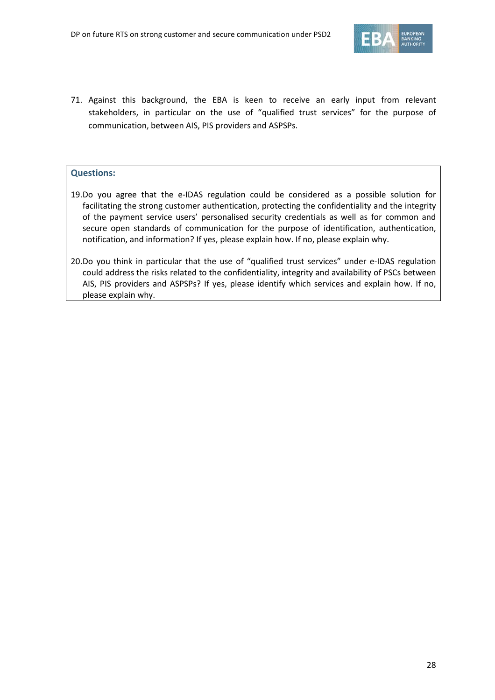

71. Against this background, the EBA is keen to receive an early input from relevant stakeholders, in particular on the use of "qualified trust services" for the purpose of communication, between AIS, PIS providers and ASPSPs.

#### **Questions:**

- 19.Do you agree that the e-IDAS regulation could be considered as a possible solution for facilitating the strong customer authentication, protecting the confidentiality and the integrity of the payment service users' personalised security credentials as well as for common and secure open standards of communication for the purpose of identification, authentication, notification, and information? If yes, please explain how. If no, please explain why.
- 20.Do you think in particular that the use of "qualified trust services" under e-IDAS regulation could address the risks related to the confidentiality, integrity and availability of PSCs between AIS, PIS providers and ASPSPs? If yes, please identify which services and explain how. If no, please explain why.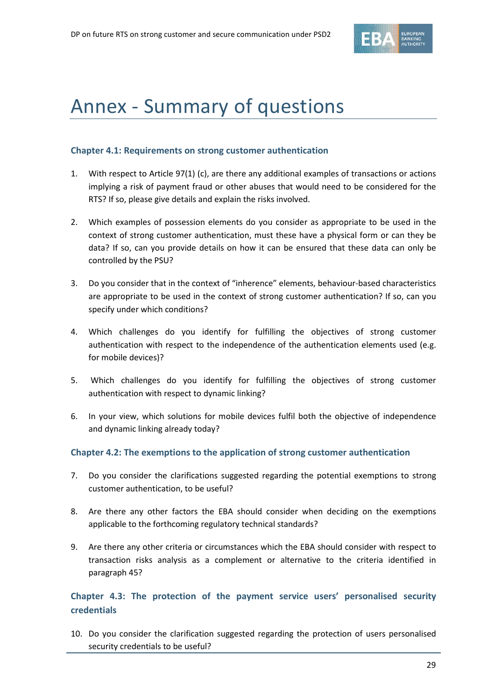

## Annex - Summary of questions

#### **Chapter 4.1: Requirements on strong customer authentication**

- 1. With respect to Article 97(1) (c), are there any additional examples of transactions or actions implying a risk of payment fraud or other abuses that would need to be considered for the RTS? If so, please give details and explain the risks involved.
- 2. Which examples of possession elements do you consider as appropriate to be used in the context of strong customer authentication, must these have a physical form or can they be data? If so, can you provide details on how it can be ensured that these data can only be controlled by the PSU?
- 3. Do you consider that in the context of "inherence" elements, behaviour-based characteristics are appropriate to be used in the context of strong customer authentication? If so, can you specify under which conditions?
- 4. Which challenges do you identify for fulfilling the objectives of strong customer authentication with respect to the independence of the authentication elements used (e.g. for mobile devices)?
- 5. Which challenges do you identify for fulfilling the objectives of strong customer authentication with respect to dynamic linking?
- 6. In your view, which solutions for mobile devices fulfil both the objective of independence and dynamic linking already today?

#### **Chapter 4.2: The exemptions to the application of strong customer authentication**

- 7. Do you consider the clarifications suggested regarding the potential exemptions to strong customer authentication, to be useful?
- 8. Are there any other factors the EBA should consider when deciding on the exemptions applicable to the forthcoming regulatory technical standards?
- 9. Are there any other criteria or circumstances which the EBA should consider with respect to transaction risks analysis as a complement or alternative to the criteria identified in paragraph 45?

### **Chapter 4.3: The protection of the payment service users' personalised security credentials**

10. Do you consider the clarification suggested regarding the protection of users personalised security credentials to be useful?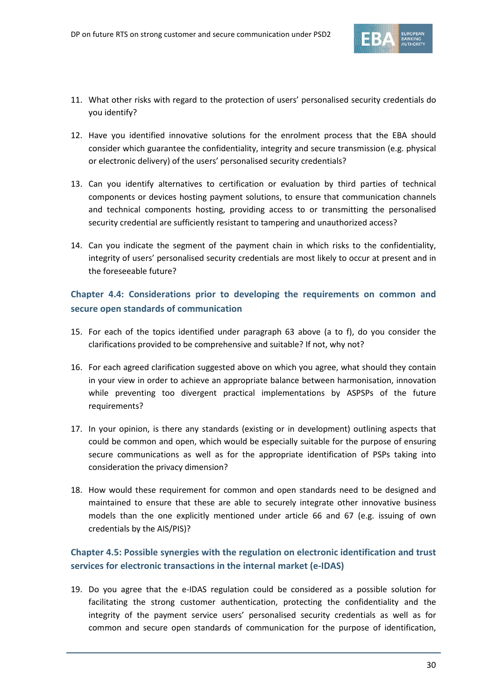

- 11. What other risks with regard to the protection of users' personalised security credentials do you identify?
- 12. Have you identified innovative solutions for the enrolment process that the EBA should consider which guarantee the confidentiality, integrity and secure transmission (e.g. physical or electronic delivery) of the users' personalised security credentials?
- 13. Can you identify alternatives to certification or evaluation by third parties of technical components or devices hosting payment solutions, to ensure that communication channels and technical components hosting, providing access to or transmitting the personalised security credential are sufficiently resistant to tampering and unauthorized access?
- 14. Can you indicate the segment of the payment chain in which risks to the confidentiality, integrity of users' personalised security credentials are most likely to occur at present and in the foreseeable future?

### **Chapter 4.4: Considerations prior to developing the requirements on common and secure open standards of communication**

- 15. For each of the topics identified under paragraph 63 above (a to f), do you consider the clarifications provided to be comprehensive and suitable? If not, why not?
- 16. For each agreed clarification suggested above on which you agree, what should they contain in your view in order to achieve an appropriate balance between harmonisation, innovation while preventing too divergent practical implementations by ASPSPs of the future requirements?
- 17. In your opinion, is there any standards (existing or in development) outlining aspects that could be common and open, which would be especially suitable for the purpose of ensuring secure communications as well as for the appropriate identification of PSPs taking into consideration the privacy dimension?
- 18. How would these requirement for common and open standards need to be designed and maintained to ensure that these are able to securely integrate other innovative business models than the one explicitly mentioned under article 66 and 67 (e.g. issuing of own credentials by the AIS/PIS)?

### **Chapter 4.5: Possible synergies with the regulation on electronic identification and trust services for electronic transactions in the internal market (e-IDAS)**

19. Do you agree that the e-IDAS regulation could be considered as a possible solution for facilitating the strong customer authentication, protecting the confidentiality and the integrity of the payment service users' personalised security credentials as well as for common and secure open standards of communication for the purpose of identification,